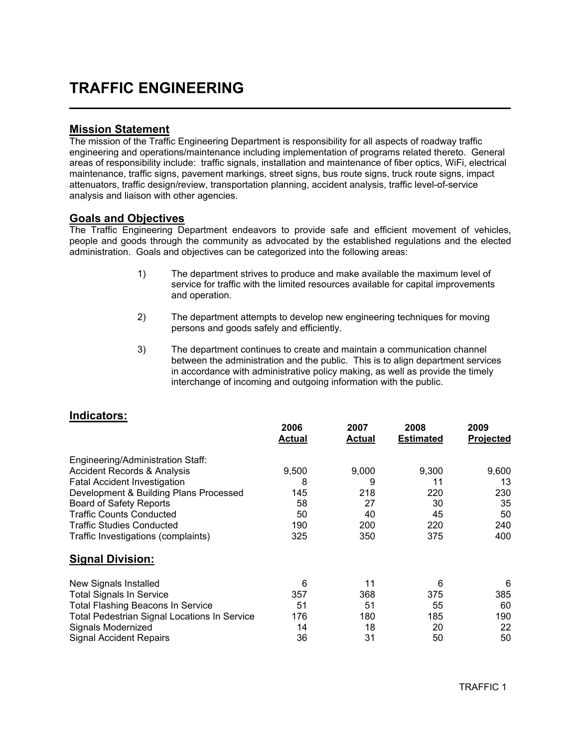### TRAFFIC ENGINEERING

#### Mission Statement

L

The mission of the Traffic Engineering Department is responsibility for all aspects of roadway traffic engineering and operations/maintenance including implementation of programs related thereto. General areas of responsibility include: traffic signals, installation and maintenance of fiber optics, WiFi, electrical maintenance, traffic signs, pavement markings, street signs, bus route signs, truck route signs, impact attenuators, traffic design/review, transportation planning, accident analysis, traffic level-of-service analysis and liaison with other agencies.

#### Goals and Objectives

The Traffic Engineering Department endeavors to provide safe and efficient movement of vehicles, people and goods through the community as advocated by the established regulations and the elected administration. Goals and objectives can be categorized into the following areas:

- 1) The department strives to produce and make available the maximum level of service for traffic with the limited resources available for capital improvements and operation.
- 2) The department attempts to develop new engineering techniques for moving persons and goods safely and efficiently.
- 3) The department continues to create and maintain a communication channel between the administration and the public. This is to align department services in accordance with administrative policy making, as well as provide the timely interchange of incoming and outgoing information with the public.

| iliuluatul ə.                                       | 2006<br><b>Actual</b> | 2007<br>Actual | 2008<br><b>Estimated</b> | 2009<br>Projected |
|-----------------------------------------------------|-----------------------|----------------|--------------------------|-------------------|
| Engineering/Administration Staff:                   |                       |                |                          |                   |
| <b>Accident Records &amp; Analysis</b>              | 9,500                 | 9,000          | 9,300                    | 9,600             |
| <b>Fatal Accident Investigation</b>                 | 8                     | 9              | 11                       | 13                |
| Development & Building Plans Processed              | 145                   | 218            | 220                      | 230               |
| <b>Board of Safety Reports</b>                      | 58                    | 27             | 30                       | 35                |
| <b>Traffic Counts Conducted</b>                     | 50                    | 40             | 45                       | 50                |
| <b>Traffic Studies Conducted</b>                    | 190                   | 200            | 220                      | 240               |
| Traffic Investigations (complaints)                 | 325                   | 350            | 375                      | 400               |
| <b>Signal Division:</b>                             |                       |                |                          |                   |
| New Signals Installed                               | 6                     | 11             | 6                        | 6                 |
| <b>Total Signals In Service</b>                     | 357                   | 368            | 375                      | 385               |
| <b>Total Flashing Beacons In Service</b>            | 51                    | 51             | 55                       | 60                |
| <b>Total Pedestrian Signal Locations In Service</b> | 176                   | 180            | 185                      | 190               |
| Signals Modernized                                  | 14                    | 18             | 20                       | 22                |
| <b>Signal Accident Repairs</b>                      | 36                    | 31             | 50                       | 50                |

#### Indicators: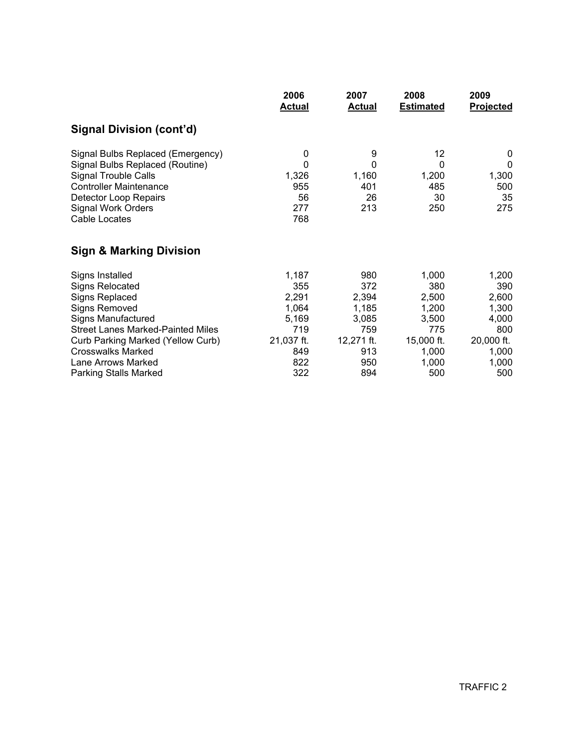|                                                                                                                                                                                                      | 2006                                       | 2007                                | 2008                                 | 2009                                |
|------------------------------------------------------------------------------------------------------------------------------------------------------------------------------------------------------|--------------------------------------------|-------------------------------------|--------------------------------------|-------------------------------------|
|                                                                                                                                                                                                      | <b>Actual</b>                              | <b>Actual</b>                       | <b>Estimated</b>                     | <b>Projected</b>                    |
| Signal Division (cont'd)                                                                                                                                                                             |                                            |                                     |                                      |                                     |
| Signal Bulbs Replaced (Emergency)<br>Signal Bulbs Replaced (Routine)<br>Signal Trouble Calls<br><b>Controller Maintenance</b><br>Detector Loop Repairs<br><b>Signal Work Orders</b><br>Cable Locates | 0<br>0<br>1,326<br>955<br>56<br>277<br>768 | 9<br>0<br>1,160<br>401<br>26<br>213 | 12<br>0<br>1,200<br>485<br>30<br>250 | 0<br>0<br>1,300<br>500<br>35<br>275 |
| <b>Sign &amp; Marking Division</b>                                                                                                                                                                   |                                            |                                     |                                      |                                     |
| Signs Installed                                                                                                                                                                                      | 1,187                                      | 980                                 | 1,000                                | 1,200                               |
| <b>Signs Relocated</b>                                                                                                                                                                               | 355                                        | 372                                 | 380                                  | 390                                 |
| <b>Signs Replaced</b>                                                                                                                                                                                | 2,291                                      | 2,394                               | 2,500                                | 2,600                               |
| <b>Signs Removed</b>                                                                                                                                                                                 | 1,064                                      | 1,185                               | 1,200                                | 1,300                               |
| <b>Signs Manufactured</b>                                                                                                                                                                            | 5,169                                      | 3,085                               | 3,500                                | 4,000                               |
| <b>Street Lanes Marked-Painted Miles</b>                                                                                                                                                             | 719                                        | 759                                 | 775                                  | 800                                 |
| <b>Curb Parking Marked (Yellow Curb)</b>                                                                                                                                                             | 21,037 ft.                                 | 12,271 ft.                          | 15,000 ft.                           | 20,000 ft.                          |
| <b>Crosswalks Marked</b>                                                                                                                                                                             | 849                                        | 913                                 | 1,000                                | 1,000                               |
| Lane Arrows Marked                                                                                                                                                                                   | 822                                        | 950                                 | 1,000                                | 1,000                               |
| <b>Parking Stalls Marked</b>                                                                                                                                                                         | 322                                        | 894                                 | 500                                  | 500                                 |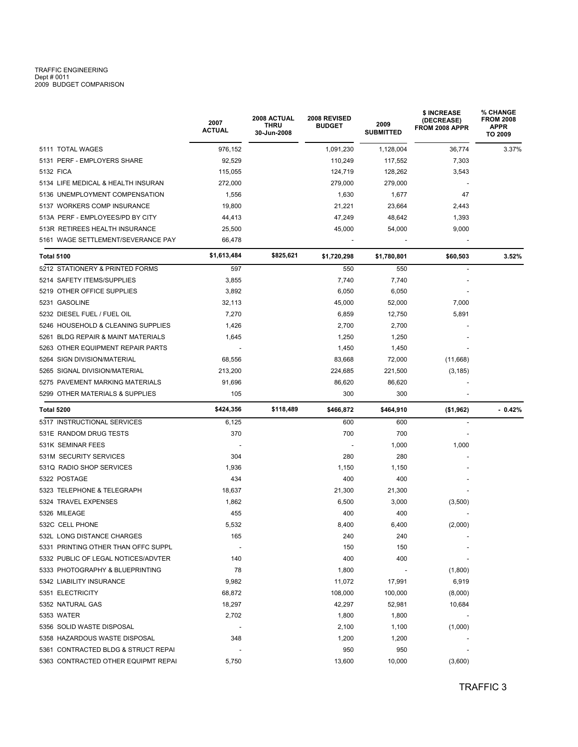# TRAFFIC ENGINEERING<br>Dept # 0011<br>2009 BUDGET COMPARISON

|                                     | 2007<br><b>ACTUAL</b>    | <b>2008 ACTUAL</b><br><b>THRU</b><br>30-Jun-2008 | 2008 REVISED<br><b>BUDGET</b> | 2009<br><b>SUBMITTED</b> | \$ INCREASE<br>(DECREASE)<br>FROM 2008 APPR | % CHANGE<br><b>FROM 2008</b><br><b>APPR</b><br>TO 2009 |
|-------------------------------------|--------------------------|--------------------------------------------------|-------------------------------|--------------------------|---------------------------------------------|--------------------------------------------------------|
| 5111 TOTAL WAGES                    | 976,152                  |                                                  | 1,091,230                     | 1,128,004                | 36,774                                      | 3.37%                                                  |
| 5131 PERF - EMPLOYERS SHARE         | 92,529                   |                                                  | 110,249                       | 117,552                  | 7,303                                       |                                                        |
| 5132 FICA                           | 115,055                  |                                                  | 124,719                       | 128,262                  | 3,543                                       |                                                        |
| 5134 LIFE MEDICAL & HEALTH INSURAN  | 272,000                  |                                                  | 279,000                       | 279,000                  |                                             |                                                        |
| 5136 UNEMPLOYMENT COMPENSATION      | 1,556                    |                                                  | 1,630                         | 1,677                    | 47                                          |                                                        |
| 5137 WORKERS COMP INSURANCE         | 19,800                   |                                                  | 21,221                        | 23,664                   | 2,443                                       |                                                        |
| 513A PERF - EMPLOYEES/PD BY CITY    | 44,413                   |                                                  | 47,249                        | 48,642                   | 1,393                                       |                                                        |
| 513R RETIREES HEALTH INSURANCE      | 25,500                   |                                                  | 45,000                        | 54,000                   | 9,000                                       |                                                        |
| 5161 WAGE SETTLEMENT/SEVERANCE PAY  | 66,478                   |                                                  |                               |                          |                                             |                                                        |
| <b>Total 5100</b>                   | \$1,613,484              | \$825,621                                        | \$1,720,298                   | \$1,780,801              | \$60,503                                    | 3.52%                                                  |
| 5212 STATIONERY & PRINTED FORMS     | 597                      |                                                  | 550                           | 550                      | $\overline{\phantom{a}}$                    |                                                        |
| 5214 SAFETY ITEMS/SUPPLIES          | 3,855                    |                                                  | 7,740                         | 7,740                    |                                             |                                                        |
| 5219 OTHER OFFICE SUPPLIES          | 3,892                    |                                                  | 6,050                         | 6,050                    |                                             |                                                        |
| 5231 GASOLINE                       | 32.113                   |                                                  | 45,000                        | 52,000                   | 7,000                                       |                                                        |
| 5232 DIESEL FUEL / FUEL OIL         | 7,270                    |                                                  | 6,859                         | 12,750                   | 5,891                                       |                                                        |
| 5246 HOUSEHOLD & CLEANING SUPPLIES  | 1,426                    |                                                  | 2,700                         | 2,700                    |                                             |                                                        |
| 5261 BLDG REPAIR & MAINT MATERIALS  | 1,645                    |                                                  | 1,250                         | 1,250                    |                                             |                                                        |
| 5263 OTHER EQUIPMENT REPAIR PARTS   | $\overline{\phantom{a}}$ |                                                  | 1,450                         | 1,450                    |                                             |                                                        |
| 5264 SIGN DIVISION/MATERIAL         | 68,556                   |                                                  | 83,668                        | 72,000                   | (11,668)                                    |                                                        |
| 5265 SIGNAL DIVISION/MATERIAL       | 213,200                  |                                                  | 224,685                       | 221,500                  | (3, 185)                                    |                                                        |
| 5275 PAVEMENT MARKING MATERIALS     | 91,696                   |                                                  | 86,620                        | 86,620                   |                                             |                                                        |
| 5299 OTHER MATERIALS & SUPPLIES     | 105                      |                                                  | 300                           | 300                      |                                             |                                                        |
| Total 5200                          | \$424,356                | \$118,489                                        | \$466,872                     | \$464,910                | ( \$1, 962)                                 | $-0.42%$                                               |
| 5317 INSTRUCTIONAL SERVICES         | 6,125                    |                                                  | 600                           | 600                      |                                             |                                                        |
| 531E RANDOM DRUG TESTS              | 370                      |                                                  | 700                           | 700                      |                                             |                                                        |
| 531K SEMINAR FEES                   |                          |                                                  |                               | 1,000                    | 1,000                                       |                                                        |
| 531M SECURITY SERVICES              | 304                      |                                                  | 280                           | 280                      |                                             |                                                        |
| 531Q RADIO SHOP SERVICES            | 1,936                    |                                                  | 1,150                         | 1,150                    |                                             |                                                        |
| 5322 POSTAGE                        | 434                      |                                                  | 400                           | 400                      |                                             |                                                        |
| 5323 TELEPHONE & TELEGRAPH          | 18,637                   |                                                  | 21,300                        | 21,300                   |                                             |                                                        |
| 5324 TRAVEL EXPENSES                | 1,862                    |                                                  | 6,500                         | 3,000                    | (3,500)                                     |                                                        |
| 5326 MILEAGE                        | 455                      |                                                  | 400                           | 400                      |                                             |                                                        |
| 532C CELL PHONE                     | 5,532                    |                                                  | 8,400                         | 6,400                    | (2,000)                                     |                                                        |
| 532L LONG DISTANCE CHARGES          | 165                      |                                                  | 240                           | 240                      |                                             |                                                        |
| 5331 PRINTING OTHER THAN OFFC SUPPL |                          |                                                  | 150                           | 150                      |                                             |                                                        |
| 5332 PUBLIC OF LEGAL NOTICES/ADVTER | 140                      |                                                  | 400                           | 400                      |                                             |                                                        |
| 5333 PHOTOGRAPHY & BLUEPRINTING     | 78                       |                                                  | 1,800                         |                          | (1,800)                                     |                                                        |
| 5342 LIABILITY INSURANCE            | 9,982                    |                                                  | 11,072                        | 17,991                   | 6,919                                       |                                                        |
| 5351 ELECTRICITY                    | 68,872                   |                                                  | 108,000                       | 100,000                  | (8,000)                                     |                                                        |
| 5352 NATURAL GAS                    | 18,297                   |                                                  | 42,297                        | 52,981                   | 10,684                                      |                                                        |
| 5353 WATER                          | 2,702                    |                                                  | 1,800                         | 1,800                    |                                             |                                                        |
| 5356 SOLID WASTE DISPOSAL           |                          |                                                  | 2,100                         | 1,100                    | (1,000)                                     |                                                        |
| 5358 HAZARDOUS WASTE DISPOSAL       | 348                      |                                                  | 1,200                         | 1,200                    |                                             |                                                        |
| 5361 CONTRACTED BLDG & STRUCT REPAI |                          |                                                  | 950                           | 950                      |                                             |                                                        |
| 5363 CONTRACTED OTHER EQUIPMT REPAI | 5,750                    |                                                  | 13,600                        | 10,000                   | (3,600)                                     |                                                        |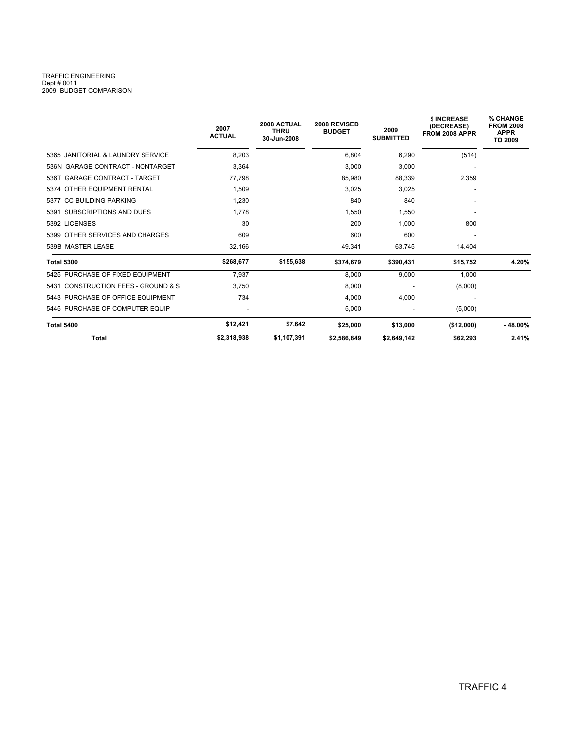## TRAFFIC ENGINEERING<br>Dept # 0011<br>2009 BUDGET COMPARISON

|                                     | 2007<br><b>ACTUAL</b> | 2008 ACTUAL<br><b>THRU</b><br>30-Jun-2008 | 2008 REVISED<br><b>BUDGET</b> | 2009<br><b>SUBMITTED</b> | \$ INCREASE<br>(DECREASE)<br>FROM 2008 APPR | % CHANGE<br><b>FROM 2008</b><br><b>APPR</b><br><b>TO 2009</b> |
|-------------------------------------|-----------------------|-------------------------------------------|-------------------------------|--------------------------|---------------------------------------------|---------------------------------------------------------------|
| 5365 JANITORIAL & LAUNDRY SERVICE   | 8,203                 |                                           | 6,804                         | 6,290                    | (514)                                       |                                                               |
| 536N GARAGE CONTRACT - NONTARGET    | 3,364                 |                                           | 3,000                         | 3,000                    |                                             |                                                               |
| 536T GARAGE CONTRACT - TARGET       | 77.798                |                                           | 85,980                        | 88,339                   | 2,359                                       |                                                               |
| 5374 OTHER EQUIPMENT RENTAL         | 1.509                 |                                           | 3,025                         | 3,025                    | $\overline{\phantom{a}}$                    |                                                               |
| 5377 CC BUILDING PARKING            | 1,230                 |                                           | 840                           | 840                      |                                             |                                                               |
| 5391 SUBSCRIPTIONS AND DUES         | 1.778                 |                                           | 1,550                         | 1,550                    |                                             |                                                               |
| 5392 LICENSES                       | 30                    |                                           | 200                           | 1,000                    | 800                                         |                                                               |
| 5399 OTHER SERVICES AND CHARGES     | 609                   |                                           | 600                           | 600                      |                                             |                                                               |
| 539B MASTER LEASE                   | 32,166                |                                           | 49,341                        | 63,745                   | 14,404                                      |                                                               |
| <b>Total 5300</b>                   | \$268,677             | \$155,638                                 | \$374,679                     | \$390.431                | \$15,752                                    | 4.20%                                                         |
| 5425 PURCHASE OF FIXED EQUIPMENT    | 7,937                 |                                           | 8,000                         | 9,000                    | 1,000                                       |                                                               |
| 5431 CONSTRUCTION FEES - GROUND & S | 3,750                 |                                           | 8,000                         |                          | (8,000)                                     |                                                               |
| 5443 PURCHASE OF OFFICE EQUIPMENT   | 734                   |                                           | 4,000                         | 4,000                    |                                             |                                                               |
| 5445 PURCHASE OF COMPUTER EQUIP     |                       |                                           | 5,000                         |                          | (5,000)                                     |                                                               |
| <b>Total 5400</b>                   | \$12,421              | \$7,642                                   | \$25,000                      | \$13,000                 | (\$12,000)                                  | $-48.00%$                                                     |
| Total                               | \$2,318,938           | \$1,107,391                               | \$2,586,849                   | \$2,649,142              | \$62,293                                    | 2.41%                                                         |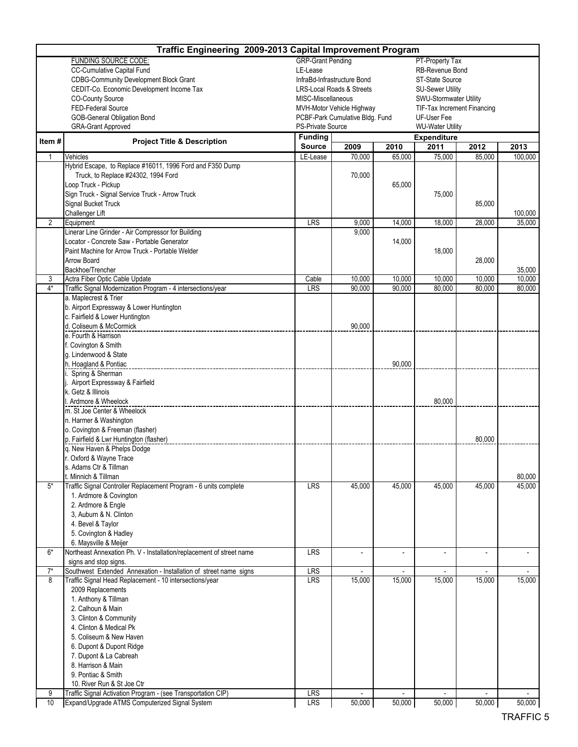|                                                | Traffic Engineering 2009-2013 Capital Improvement Program                                                                                                                                                                                                                                                                                                                                                                                                                                                                                                                                                                                                                                                                                                                                                                                                                                                                                                                                                                                                                                                        |                                 |                                 |                          |                                        |        |         |
|------------------------------------------------|------------------------------------------------------------------------------------------------------------------------------------------------------------------------------------------------------------------------------------------------------------------------------------------------------------------------------------------------------------------------------------------------------------------------------------------------------------------------------------------------------------------------------------------------------------------------------------------------------------------------------------------------------------------------------------------------------------------------------------------------------------------------------------------------------------------------------------------------------------------------------------------------------------------------------------------------------------------------------------------------------------------------------------------------------------------------------------------------------------------|---------------------------------|---------------------------------|--------------------------|----------------------------------------|--------|---------|
|                                                | <b>FUNDING SOURCE CODE:</b>                                                                                                                                                                                                                                                                                                                                                                                                                                                                                                                                                                                                                                                                                                                                                                                                                                                                                                                                                                                                                                                                                      | <b>GRP-Grant Pending</b>        |                                 |                          | PT-Property Tax                        |        |         |
|                                                | CC-Cumulative Capital Fund                                                                                                                                                                                                                                                                                                                                                                                                                                                                                                                                                                                                                                                                                                                                                                                                                                                                                                                                                                                                                                                                                       | LE-Lease                        |                                 |                          | RB-Revenue Bond                        |        |         |
|                                                |                                                                                                                                                                                                                                                                                                                                                                                                                                                                                                                                                                                                                                                                                                                                                                                                                                                                                                                                                                                                                                                                                                                  |                                 | InfraBd-Infrastructure Bond     |                          | <b>ST-State Source</b>                 |        |         |
|                                                |                                                                                                                                                                                                                                                                                                                                                                                                                                                                                                                                                                                                                                                                                                                                                                                                                                                                                                                                                                                                                                                                                                                  |                                 | LRS-Local Roads & Streets       |                          | <b>SU-Sewer Utility</b>                |        |         |
|                                                |                                                                                                                                                                                                                                                                                                                                                                                                                                                                                                                                                                                                                                                                                                                                                                                                                                                                                                                                                                                                                                                                                                                  | MISC-Miscellaneous              |                                 |                          | SWU-Stormwater Utility                 |        |         |
|                                                |                                                                                                                                                                                                                                                                                                                                                                                                                                                                                                                                                                                                                                                                                                                                                                                                                                                                                                                                                                                                                                                                                                                  |                                 | MVH-Motor Vehicle Highway       |                          | TIF-Tax Increment Financing            |        |         |
|                                                |                                                                                                                                                                                                                                                                                                                                                                                                                                                                                                                                                                                                                                                                                                                                                                                                                                                                                                                                                                                                                                                                                                                  | <b>PS-Private Source</b>        | PCBF-Park Cumulative Bldg. Fund |                          | UF-User Fee<br><b>WU-Water Utility</b> |        |         |
|                                                | <b>CDBG-Community Development Block Grant</b><br>CEDIT-Co. Economic Development Income Tax<br><b>CO-County Source</b><br>FED-Federal Source<br>GOB-General Obligation Bond<br><b>GRA-Grant Approved</b><br><b>Project Title &amp; Description</b><br>Vehicles<br>1<br>Hybrid Escape, to Replace #16011, 1996 Ford and F350 Dump<br>Truck, to Replace #24302, 1994 Ford<br>Loop Truck - Pickup<br>Sign Truck - Signal Service Truck - Arrow Truck<br>Signal Bucket Truck<br>Challenger Lift<br>2<br>Equipment<br>Linerar Line Grinder - Air Compressor for Building<br>Locator - Concrete Saw - Portable Generator<br>Paint Machine for Arrow Truck - Portable Welder<br>Arrow Board<br>Backhoe/Trencher<br>3<br>Actra Fiber Optic Cable Update<br>$4*$<br>Traffic Signal Modernization Program - 4 intersections/year<br>a. Maplecrest & Trier<br>b. Airport Expressway & Lower Huntington<br>c. Fairfield & Lower Huntington<br>d. Coliseum & McCormick<br>e. Fourth & Harrison<br>f. Covington & Smith<br>g. Lindenwood & State<br>h. Hoagland & Pontiac<br>Spring & Sherman<br>Airport Expressway & Fairfield |                                 |                                 |                          | <b>Expenditure</b>                     |        |         |
|                                                |                                                                                                                                                                                                                                                                                                                                                                                                                                                                                                                                                                                                                                                                                                                                                                                                                                                                                                                                                                                                                                                                                                                  | <b>Funding</b><br><b>Source</b> | 2009                            | 2010                     | 2011                                   | 2012   | 2013    |
|                                                |                                                                                                                                                                                                                                                                                                                                                                                                                                                                                                                                                                                                                                                                                                                                                                                                                                                                                                                                                                                                                                                                                                                  | LE-Lease                        | 70,000                          | 65,000                   | 75,000                                 | 85,000 | 100,000 |
|                                                |                                                                                                                                                                                                                                                                                                                                                                                                                                                                                                                                                                                                                                                                                                                                                                                                                                                                                                                                                                                                                                                                                                                  |                                 |                                 |                          |                                        |        |         |
|                                                |                                                                                                                                                                                                                                                                                                                                                                                                                                                                                                                                                                                                                                                                                                                                                                                                                                                                                                                                                                                                                                                                                                                  |                                 | 70,000                          |                          |                                        |        |         |
|                                                |                                                                                                                                                                                                                                                                                                                                                                                                                                                                                                                                                                                                                                                                                                                                                                                                                                                                                                                                                                                                                                                                                                                  |                                 |                                 | 65,000                   |                                        |        |         |
|                                                |                                                                                                                                                                                                                                                                                                                                                                                                                                                                                                                                                                                                                                                                                                                                                                                                                                                                                                                                                                                                                                                                                                                  |                                 |                                 |                          | 75,000                                 |        |         |
|                                                |                                                                                                                                                                                                                                                                                                                                                                                                                                                                                                                                                                                                                                                                                                                                                                                                                                                                                                                                                                                                                                                                                                                  |                                 |                                 |                          |                                        | 85,000 |         |
|                                                |                                                                                                                                                                                                                                                                                                                                                                                                                                                                                                                                                                                                                                                                                                                                                                                                                                                                                                                                                                                                                                                                                                                  |                                 |                                 |                          |                                        |        | 100,000 |
|                                                |                                                                                                                                                                                                                                                                                                                                                                                                                                                                                                                                                                                                                                                                                                                                                                                                                                                                                                                                                                                                                                                                                                                  | LRS                             | 9,000                           | 14,000                   | 18,000                                 | 28,000 | 35,000  |
|                                                |                                                                                                                                                                                                                                                                                                                                                                                                                                                                                                                                                                                                                                                                                                                                                                                                                                                                                                                                                                                                                                                                                                                  |                                 | 9,000                           |                          |                                        |        |         |
|                                                |                                                                                                                                                                                                                                                                                                                                                                                                                                                                                                                                                                                                                                                                                                                                                                                                                                                                                                                                                                                                                                                                                                                  |                                 |                                 | 14,000                   |                                        |        |         |
|                                                |                                                                                                                                                                                                                                                                                                                                                                                                                                                                                                                                                                                                                                                                                                                                                                                                                                                                                                                                                                                                                                                                                                                  |                                 |                                 |                          | 18,000                                 |        |         |
| Item#<br>$5*$<br>$6*$<br>$\overline{7}^*$<br>8 |                                                                                                                                                                                                                                                                                                                                                                                                                                                                                                                                                                                                                                                                                                                                                                                                                                                                                                                                                                                                                                                                                                                  |                                 |                                 |                          |                                        | 28,000 | 35,000  |
|                                                |                                                                                                                                                                                                                                                                                                                                                                                                                                                                                                                                                                                                                                                                                                                                                                                                                                                                                                                                                                                                                                                                                                                  | Cable                           | 10.000                          | 10.000                   | 10,000                                 | 10,000 | 10,000  |
|                                                |                                                                                                                                                                                                                                                                                                                                                                                                                                                                                                                                                                                                                                                                                                                                                                                                                                                                                                                                                                                                                                                                                                                  | LRS                             | 90,000                          | 90,000                   | 80,000                                 | 80,000 | 80,000  |
|                                                |                                                                                                                                                                                                                                                                                                                                                                                                                                                                                                                                                                                                                                                                                                                                                                                                                                                                                                                                                                                                                                                                                                                  |                                 |                                 |                          |                                        |        |         |
|                                                |                                                                                                                                                                                                                                                                                                                                                                                                                                                                                                                                                                                                                                                                                                                                                                                                                                                                                                                                                                                                                                                                                                                  |                                 |                                 |                          |                                        |        |         |
|                                                |                                                                                                                                                                                                                                                                                                                                                                                                                                                                                                                                                                                                                                                                                                                                                                                                                                                                                                                                                                                                                                                                                                                  |                                 |                                 |                          |                                        |        |         |
|                                                |                                                                                                                                                                                                                                                                                                                                                                                                                                                                                                                                                                                                                                                                                                                                                                                                                                                                                                                                                                                                                                                                                                                  |                                 | 90,000                          |                          |                                        |        |         |
|                                                |                                                                                                                                                                                                                                                                                                                                                                                                                                                                                                                                                                                                                                                                                                                                                                                                                                                                                                                                                                                                                                                                                                                  |                                 |                                 |                          |                                        |        |         |
|                                                |                                                                                                                                                                                                                                                                                                                                                                                                                                                                                                                                                                                                                                                                                                                                                                                                                                                                                                                                                                                                                                                                                                                  |                                 |                                 |                          |                                        |        |         |
|                                                |                                                                                                                                                                                                                                                                                                                                                                                                                                                                                                                                                                                                                                                                                                                                                                                                                                                                                                                                                                                                                                                                                                                  |                                 |                                 |                          |                                        |        |         |
|                                                |                                                                                                                                                                                                                                                                                                                                                                                                                                                                                                                                                                                                                                                                                                                                                                                                                                                                                                                                                                                                                                                                                                                  |                                 |                                 | 90,000                   |                                        |        |         |
|                                                |                                                                                                                                                                                                                                                                                                                                                                                                                                                                                                                                                                                                                                                                                                                                                                                                                                                                                                                                                                                                                                                                                                                  |                                 |                                 |                          |                                        |        |         |
|                                                | k. Getz & Illinois                                                                                                                                                                                                                                                                                                                                                                                                                                                                                                                                                                                                                                                                                                                                                                                                                                                                                                                                                                                                                                                                                               |                                 |                                 |                          |                                        |        |         |
|                                                | Ardmore & Wheelock                                                                                                                                                                                                                                                                                                                                                                                                                                                                                                                                                                                                                                                                                                                                                                                                                                                                                                                                                                                                                                                                                               |                                 |                                 |                          | 80,000                                 |        |         |
|                                                | m. St Joe Center & Wheelock                                                                                                                                                                                                                                                                                                                                                                                                                                                                                                                                                                                                                                                                                                                                                                                                                                                                                                                                                                                                                                                                                      |                                 |                                 |                          |                                        |        |         |
|                                                | n. Harmer & Washington                                                                                                                                                                                                                                                                                                                                                                                                                                                                                                                                                                                                                                                                                                                                                                                                                                                                                                                                                                                                                                                                                           |                                 |                                 |                          |                                        |        |         |
|                                                | o. Covington & Freeman (flasher)                                                                                                                                                                                                                                                                                                                                                                                                                                                                                                                                                                                                                                                                                                                                                                                                                                                                                                                                                                                                                                                                                 |                                 |                                 |                          |                                        |        |         |
|                                                | p. Fairfield & Lwr Huntington (flasher)                                                                                                                                                                                                                                                                                                                                                                                                                                                                                                                                                                                                                                                                                                                                                                                                                                                                                                                                                                                                                                                                          |                                 |                                 |                          |                                        | 80,000 |         |
|                                                | q. New Haven & Phelps Dodge                                                                                                                                                                                                                                                                                                                                                                                                                                                                                                                                                                                                                                                                                                                                                                                                                                                                                                                                                                                                                                                                                      |                                 |                                 |                          |                                        |        |         |
|                                                | r. Oxford & Wayne Trace                                                                                                                                                                                                                                                                                                                                                                                                                                                                                                                                                                                                                                                                                                                                                                                                                                                                                                                                                                                                                                                                                          |                                 |                                 |                          |                                        |        |         |
|                                                | s. Adams Ctr & Tillman                                                                                                                                                                                                                                                                                                                                                                                                                                                                                                                                                                                                                                                                                                                                                                                                                                                                                                                                                                                                                                                                                           |                                 |                                 |                          |                                        |        |         |
|                                                | t. Minnich & Tillman                                                                                                                                                                                                                                                                                                                                                                                                                                                                                                                                                                                                                                                                                                                                                                                                                                                                                                                                                                                                                                                                                             |                                 |                                 |                          |                                        |        | 80,000  |
|                                                | Traffic Signal Controller Replacement Program - 6 units complete                                                                                                                                                                                                                                                                                                                                                                                                                                                                                                                                                                                                                                                                                                                                                                                                                                                                                                                                                                                                                                                 | <b>LRS</b>                      | 45,000                          | 45,000                   | 45,000                                 | 45,000 | 45,000  |
|                                                | 1. Ardmore & Covington                                                                                                                                                                                                                                                                                                                                                                                                                                                                                                                                                                                                                                                                                                                                                                                                                                                                                                                                                                                                                                                                                           |                                 |                                 |                          |                                        |        |         |
|                                                | 2. Ardmore & Engle<br>3. Auburn & N. Clinton                                                                                                                                                                                                                                                                                                                                                                                                                                                                                                                                                                                                                                                                                                                                                                                                                                                                                                                                                                                                                                                                     |                                 |                                 |                          |                                        |        |         |
|                                                | 4. Bevel & Taylor                                                                                                                                                                                                                                                                                                                                                                                                                                                                                                                                                                                                                                                                                                                                                                                                                                                                                                                                                                                                                                                                                                |                                 |                                 |                          |                                        |        |         |
|                                                | 5. Covington & Hadley                                                                                                                                                                                                                                                                                                                                                                                                                                                                                                                                                                                                                                                                                                                                                                                                                                                                                                                                                                                                                                                                                            |                                 |                                 |                          |                                        |        |         |
|                                                | 6. Maysville & Meijer                                                                                                                                                                                                                                                                                                                                                                                                                                                                                                                                                                                                                                                                                                                                                                                                                                                                                                                                                                                                                                                                                            |                                 |                                 |                          |                                        |        |         |
|                                                | Northeast Annexation Ph. V - Installation/replacement of street name                                                                                                                                                                                                                                                                                                                                                                                                                                                                                                                                                                                                                                                                                                                                                                                                                                                                                                                                                                                                                                             | LRS                             | $\overline{\phantom{a}}$        | $\overline{\phantom{a}}$ |                                        |        |         |
|                                                | signs and stop signs.                                                                                                                                                                                                                                                                                                                                                                                                                                                                                                                                                                                                                                                                                                                                                                                                                                                                                                                                                                                                                                                                                            |                                 |                                 |                          |                                        |        |         |
|                                                | Southwest Extended Annexation - Installation of street name signs                                                                                                                                                                                                                                                                                                                                                                                                                                                                                                                                                                                                                                                                                                                                                                                                                                                                                                                                                                                                                                                | LRS                             | $\overline{a}$                  | $\overline{a}$           |                                        |        |         |
|                                                | Traffic Signal Head Replacement - 10 intersections/year                                                                                                                                                                                                                                                                                                                                                                                                                                                                                                                                                                                                                                                                                                                                                                                                                                                                                                                                                                                                                                                          | <b>LRS</b>                      | 15,000                          | 15,000                   | 15,000                                 | 15,000 | 15,000  |
|                                                | 2009 Replacements                                                                                                                                                                                                                                                                                                                                                                                                                                                                                                                                                                                                                                                                                                                                                                                                                                                                                                                                                                                                                                                                                                |                                 |                                 |                          |                                        |        |         |
|                                                | 1. Anthony & Tillman                                                                                                                                                                                                                                                                                                                                                                                                                                                                                                                                                                                                                                                                                                                                                                                                                                                                                                                                                                                                                                                                                             |                                 |                                 |                          |                                        |        |         |
|                                                | 2. Calhoun & Main                                                                                                                                                                                                                                                                                                                                                                                                                                                                                                                                                                                                                                                                                                                                                                                                                                                                                                                                                                                                                                                                                                |                                 |                                 |                          |                                        |        |         |
|                                                | 3. Clinton & Community                                                                                                                                                                                                                                                                                                                                                                                                                                                                                                                                                                                                                                                                                                                                                                                                                                                                                                                                                                                                                                                                                           |                                 |                                 |                          |                                        |        |         |
|                                                | 4. Clinton & Medical Pk                                                                                                                                                                                                                                                                                                                                                                                                                                                                                                                                                                                                                                                                                                                                                                                                                                                                                                                                                                                                                                                                                          |                                 |                                 |                          |                                        |        |         |
|                                                | 5. Coliseum & New Haven                                                                                                                                                                                                                                                                                                                                                                                                                                                                                                                                                                                                                                                                                                                                                                                                                                                                                                                                                                                                                                                                                          |                                 |                                 |                          |                                        |        |         |
|                                                | 6. Dupont & Dupont Ridge<br>7. Dupont & La Cabreah                                                                                                                                                                                                                                                                                                                                                                                                                                                                                                                                                                                                                                                                                                                                                                                                                                                                                                                                                                                                                                                               |                                 |                                 |                          |                                        |        |         |
|                                                | 8. Harrison & Main                                                                                                                                                                                                                                                                                                                                                                                                                                                                                                                                                                                                                                                                                                                                                                                                                                                                                                                                                                                                                                                                                               |                                 |                                 |                          |                                        |        |         |
|                                                | 9. Pontiac & Smith                                                                                                                                                                                                                                                                                                                                                                                                                                                                                                                                                                                                                                                                                                                                                                                                                                                                                                                                                                                                                                                                                               |                                 |                                 |                          |                                        |        |         |
|                                                | 10. River Run & St Joe Ctr                                                                                                                                                                                                                                                                                                                                                                                                                                                                                                                                                                                                                                                                                                                                                                                                                                                                                                                                                                                                                                                                                       |                                 |                                 |                          |                                        |        |         |
| 9                                              | Traffic Signal Activation Program - (see Transportation CIP)                                                                                                                                                                                                                                                                                                                                                                                                                                                                                                                                                                                                                                                                                                                                                                                                                                                                                                                                                                                                                                                     | LRS                             |                                 |                          |                                        |        |         |
| 10                                             | Expand/Upgrade ATMS Computerized Signal System                                                                                                                                                                                                                                                                                                                                                                                                                                                                                                                                                                                                                                                                                                                                                                                                                                                                                                                                                                                                                                                                   | <b>LRS</b>                      | 50,000                          | 50,000                   | 50,000                                 | 50,000 | 50,000  |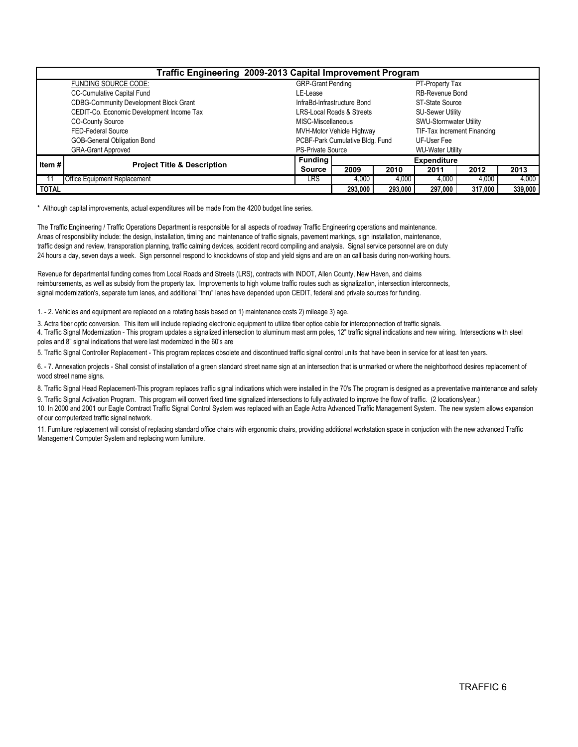| Traffic Engineering 2009-2013 Capital Improvement Program |                                               |                           |                                      |                         |                               |         |         |  |  |  |  |  |
|-----------------------------------------------------------|-----------------------------------------------|---------------------------|--------------------------------------|-------------------------|-------------------------------|---------|---------|--|--|--|--|--|
|                                                           | FUNDING SOURCE CODE:                          | <b>GRP-Grant Pending</b>  |                                      |                         | PT-Property Tax               |         |         |  |  |  |  |  |
|                                                           | <b>CC-Cumulative Capital Fund</b>             | LE-Lease                  |                                      |                         | <b>RB-Revenue Bond</b>        |         |         |  |  |  |  |  |
|                                                           | <b>CDBG-Community Development Block Grant</b> |                           | InfraBd-Infrastructure Bond          |                         | ST-State Source               |         |         |  |  |  |  |  |
|                                                           | CEDIT-Co. Economic Development Income Tax     |                           | <b>LRS-Local Roads &amp; Streets</b> |                         | <b>SU-Sewer Utility</b>       |         |         |  |  |  |  |  |
|                                                           | <b>CO-County Source</b>                       | MISC-Miscellaneous        |                                      |                         | <b>SWU-Stormwater Utility</b> |         |         |  |  |  |  |  |
|                                                           | <b>FED-Federal Source</b>                     | MVH-Motor Vehicle Highway | TIF-Tax Increment Financing          |                         |                               |         |         |  |  |  |  |  |
|                                                           | GOB-General Obligation Bond                   |                           | PCBF-Park Cumulative Bldg. Fund      |                         | UF-User Fee                   |         |         |  |  |  |  |  |
| <b>GRA-Grant Approved</b>                                 |                                               | <b>PS-Private Source</b>  |                                      | <b>WU-Water Utility</b> |                               |         |         |  |  |  |  |  |
| Item $#$                                                  | <b>Project Title &amp; Description</b>        | <b>Funding</b>            |                                      | <b>Expenditure</b>      |                               |         |         |  |  |  |  |  |
|                                                           |                                               | <b>Source</b>             | 2009                                 | 2010                    | 2011                          | 2012    | 2013    |  |  |  |  |  |
|                                                           | Office Equipment Replacement                  | LRS                       | 4,000                                | 4,000                   | 4.000                         | 4.000   | 4,000   |  |  |  |  |  |
| <b>TOTAL</b>                                              |                                               |                           | 293.000                              | 293.000                 | 297.000                       | 317.000 | 339,000 |  |  |  |  |  |

\* Although capital improvements, actual expenditures will be made from the 4200 budget line series.

Areas of responsibility include: the design, installation, timing and maintenance of traffic signals, pavement markings, sign installation, maintenance, 24 hours a day, seven days a week. Sign personnel respond to knockdowns of stop and yield signs and are on an call basis during non-working hours. The Traffic Engineering / Traffic Operations Department is responsible for all aspects of roadway Traffic Engineering operations and maintenance. traffic design and review, transporation planning, traffic calming devices, accident record compiling and analysis. Signal service personnel are on duty

Revenue for departmental funding comes from Local Roads and Streets (LRS), contracts with INDOT, Allen County, New Haven, and claims signal modernization's, separate turn lanes, and additional "thru" lanes have depended upon CEDIT, federal and private sources for funding. reimbursements, as well as subsidy from the property tax. Improvements to high volume traffic routes such as signalization, intersection interconnects,

1. - 2. Vehicles and equipment are replaced on a rotating basis based on 1) maintenance costs 2) mileage 3) age.

4. Traffic Signal Modernization - This program updates a signalized intersection to aluminum mast arm poles, 12" traffic signal indications and new wiring. Intersections with steel poles and 8" signal indications that were last modernized in the 60's are 3. Actra fiber optic conversion. This item will include replacing electronic equipment to utilize fiber optice cable for intercopnnection of traffic signals.

5. Traffic Signal Controller Replacement - This program replaces obsolete and discontinued traffic signal control units that have been in service for at least ten years.

6. - 7. Annexation projects - Shall consist of installation of a green standard street name sign at an intersection that is unmarked or where the neighborhood desires replacement of wood street name signs.

8. Traffic Signal Head Replacement-This program replaces traffic signal indications which were installed in the 70's The program is designed as a preventative maintenance and safety 9. Traffic Signal Activation Program. This program will convert fixed time signalized intersections to fully activated to improve the flow of traffic. (2 locations/year.)

10. In 2000 and 2001 our Eagle Comtract Traffic Signal Control System was replaced with an Eagle Actra Advanced Traffic Management System. The new system allows expansion of our computerized traffic signal network.

11. Furniture replacement will consist of replacing standard office chairs with ergonomic chairs, providing additional workstation space in conjuction with the new advanced Traffic Management Computer System and replacing worn furniture.